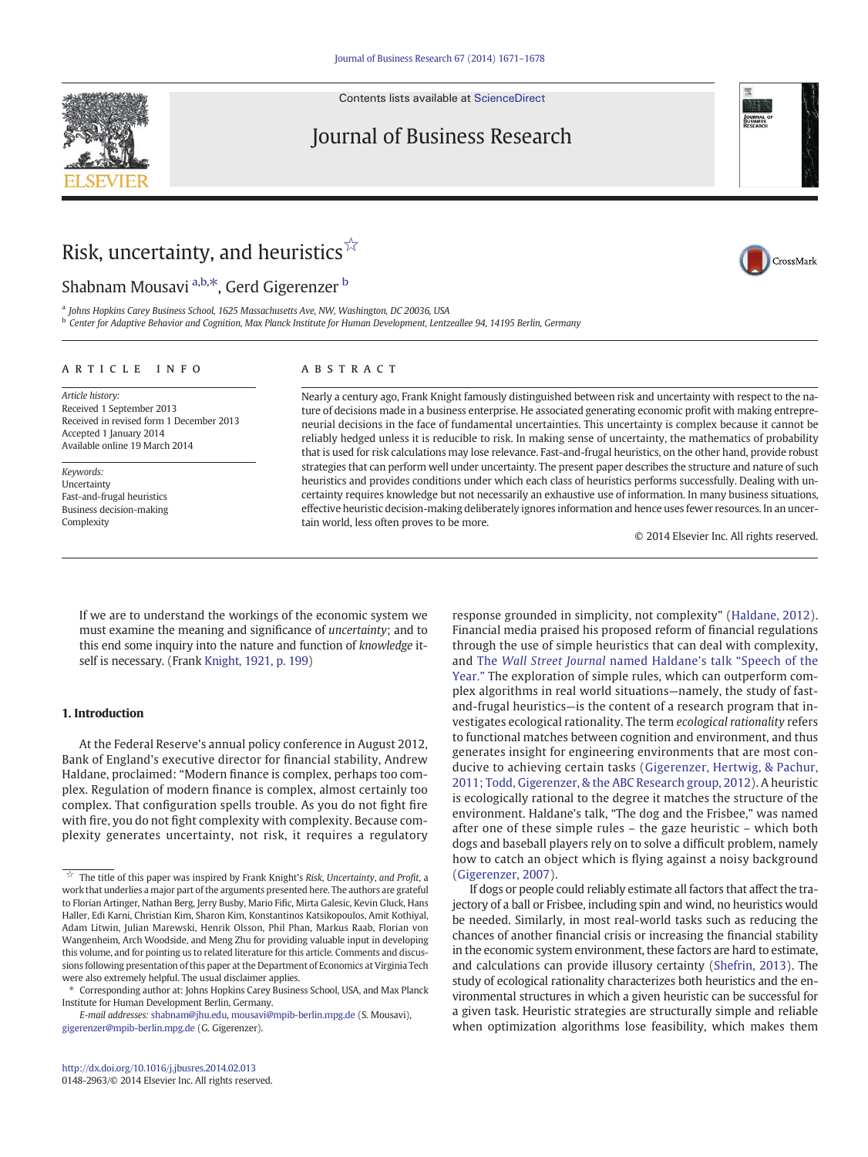Contents lists available at [ScienceDirect](http://www.sciencedirect.com/science/journal/01482963)

# Journal of Business Research

# Risk, uncertainty, and heuristics  $\overrightarrow{x}$

Shabnam Mousavi <sup>a,b,\*</sup>, Gerd Gigerenzer <sup>b</sup>

<sup>a</sup> Johns Hopkins Carey Business School, 1625 Massachusetts Ave, NW, Washington, DC 20036, USA **b** Center for Adaptive Behavior and Cognition, Max Planck Institute for Human Development, Lentzeallee 94, 14195 Berlin, Germany

#### article info abstract

Article history: Received 1 September 2013 Received in revised form 1 December 2013 Accepted 1 January 2014 Available online 19 March 2014

Keywords: Uncertainty Fast-and-frugal heuristics Business decision-making Complexity

Nearly a century ago, Frank Knight famously distinguished between risk and uncertainty with respect to the nature of decisions made in a business enterprise. He associated generating economic profit with making entrepreneurial decisions in the face of fundamental uncertainties. This uncertainty is complex because it cannot be reliably hedged unless it is reducible to risk. In making sense of uncertainty, the mathematics of probability that is used for risk calculations may lose relevance. Fast-and-frugal heuristics, on the other hand, provide robust strategies that can perform well under uncertainty. The present paper describes the structure and nature of such heuristics and provides conditions under which each class of heuristics performs successfully. Dealing with uncertainty requires knowledge but not necessarily an exhaustive use of information. In many business situations, effective heuristic decision-making deliberately ignores information and hence uses fewer resources. In an uncertain world, less often proves to be more.

© 2014 Elsevier Inc. All rights reserved.

If we are to understand the workings of the economic system we must examine the meaning and significance of uncertainty; and to this end some inquiry into the nature and function of knowledge itself is necessary. (Frank [Knight, 1921, p. 199](#page-6-0))

# 1. Introduction

At the Federal Reserve's annual policy conference in August 2012, Bank of England's executive director for financial stability, Andrew Haldane, proclaimed: "Modern finance is complex, perhaps too complex. Regulation of modern finance is complex, almost certainly too complex. That configuration spells trouble. As you do not fight fire with fire, you do not fight complexity with complexity. Because complexity generates uncertainty, not risk, it requires a regulatory response grounded in simplicity, not complexity" ([Haldane, 2012](#page-6-0)). Financial media praised his proposed reform of financial regulations through the use of simple heuristics that can deal with complexity, and The Wall Street Journal [named Haldane's talk](#page-7-0) "Speech of the [Year.](#page-7-0)" The exploration of simple rules, which can outperform complex algorithms in real world situations—namely, the study of fastand-frugal heuristics—is the content of a research program that investigates ecological rationality. The term ecological rationality refers to functional matches between cognition and environment, and thus generates insight for engineering environments that are most conducive to achieving certain tasks ([Gigerenzer, Hertwig, & Pachur,](#page-6-0) [2011; Todd, Gigerenzer, & the ABC Research group, 2012](#page-6-0)). A heuristic is ecologically rational to the degree it matches the structure of the environment. Haldane's talk, "The dog and the Frisbee," was named after one of these simple rules – the gaze heuristic – which both dogs and baseball players rely on to solve a difficult problem, namely how to catch an object which is flying against a noisy background [\(Gigerenzer, 2007](#page-6-0)).

If dogs or people could reliably estimate all factors that affect the trajectory of a ball or Frisbee, including spin and wind, no heuristics would be needed. Similarly, in most real-world tasks such as reducing the chances of another financial crisis or increasing the financial stability in the economic system environment, these factors are hard to estimate, and calculations can provide illusory certainty [\(Shefrin, 2013\)](#page-7-0). The study of ecological rationality characterizes both heuristics and the environmental structures in which a given heuristic can be successful for a given task. Heuristic strategies are structurally simple and reliable when optimization algorithms lose feasibility, which makes them







The title of this paper was inspired by Frank Knight's Risk, Uncertainty, and Profit, a work that underlies a major part of the arguments presented here. The authors are grateful to Florian Artinger, Nathan Berg, Jerry Busby, Mario Fific, Mirta Galesic, Kevin Gluck, Hans Haller, Edi Karni, Christian Kim, Sharon Kim, Konstantinos Katsikopoulos, Amit Kothiyal, Adam Litwin, Julian Marewski, Henrik Olsson, Phil Phan, Markus Raab, Florian von Wangenheim, Arch Woodside, and Meng Zhu for providing valuable input in developing this volume, and for pointing us to related literature for this article. Comments and discussions following presentation of this paper at the Department of Economics at Virginia Tech were also extremely helpful. The usual disclaimer applies.

<sup>⁎</sup> Corresponding author at: Johns Hopkins Carey Business School, USA, and Max Planck Institute for Human Development Berlin, Germany.

E-mail addresses: [shabnam@jhu.edu,](mailto:shabnam@jhu.edu) [mousavi@mpib-berlin.mpg.de](mailto:shabnam@jhu.edu) (S. Mousavi), [gigerenzer@mpib-berlin.mpg.de](mailto:gigerenzer@mpib-berlin.mpg.de) (G. Gigerenzer).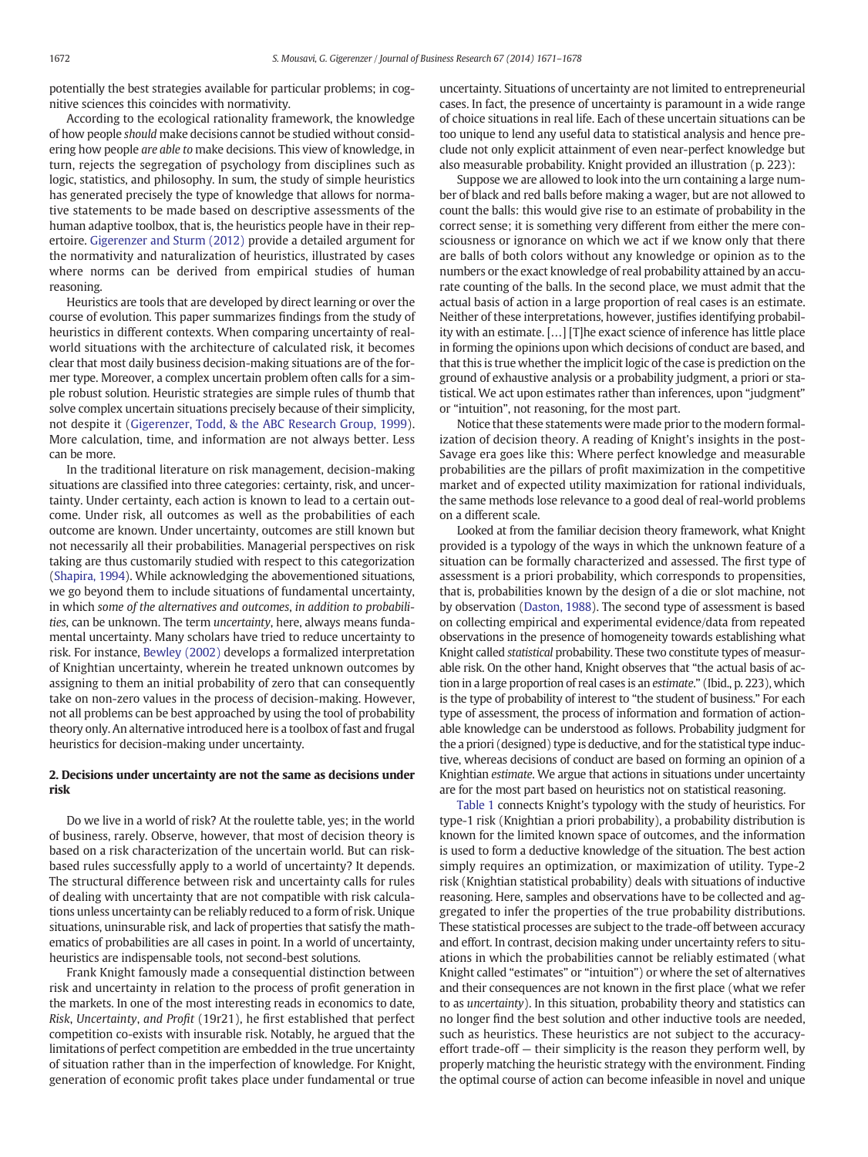potentially the best strategies available for particular problems; in cognitive sciences this coincides with normativity.

According to the ecological rationality framework, the knowledge of how people should make decisions cannot be studied without considering how people are able to make decisions. This view of knowledge, in turn, rejects the segregation of psychology from disciplines such as logic, statistics, and philosophy. In sum, the study of simple heuristics has generated precisely the type of knowledge that allows for normative statements to be made based on descriptive assessments of the human adaptive toolbox, that is, the heuristics people have in their repertoire. [Gigerenzer and Sturm \(2012\)](#page-6-0) provide a detailed argument for the normativity and naturalization of heuristics, illustrated by cases where norms can be derived from empirical studies of human reasoning.

Heuristics are tools that are developed by direct learning or over the course of evolution. This paper summarizes findings from the study of heuristics in different contexts. When comparing uncertainty of realworld situations with the architecture of calculated risk, it becomes clear that most daily business decision-making situations are of the former type. Moreover, a complex uncertain problem often calls for a simple robust solution. Heuristic strategies are simple rules of thumb that solve complex uncertain situations precisely because of their simplicity, not despite it ([Gigerenzer, Todd, & the ABC Research Group, 1999](#page-6-0)). More calculation, time, and information are not always better. Less can be more.

In the traditional literature on risk management, decision-making situations are classified into three categories: certainty, risk, and uncertainty. Under certainty, each action is known to lead to a certain outcome. Under risk, all outcomes as well as the probabilities of each outcome are known. Under uncertainty, outcomes are still known but not necessarily all their probabilities. Managerial perspectives on risk taking are thus customarily studied with respect to this categorization [\(Shapira, 1994\)](#page-7-0). While acknowledging the abovementioned situations, we go beyond them to include situations of fundamental uncertainty, in which some of the alternatives and outcomes, in addition to probabilities, can be unknown. The term uncertainty, here, always means fundamental uncertainty. Many scholars have tried to reduce uncertainty to risk. For instance, [Bewley \(2002\)](#page-6-0) develops a formalized interpretation of Knightian uncertainty, wherein he treated unknown outcomes by assigning to them an initial probability of zero that can consequently take on non-zero values in the process of decision-making. However, not all problems can be best approached by using the tool of probability theory only. An alternative introduced here is a toolbox of fast and frugal heuristics for decision-making under uncertainty.

## 2. Decisions under uncertainty are not the same as decisions under risk

Do we live in a world of risk? At the roulette table, yes; in the world of business, rarely. Observe, however, that most of decision theory is based on a risk characterization of the uncertain world. But can riskbased rules successfully apply to a world of uncertainty? It depends. The structural difference between risk and uncertainty calls for rules of dealing with uncertainty that are not compatible with risk calculations unless uncertainty can be reliably reduced to a form of risk. Unique situations, uninsurable risk, and lack of properties that satisfy the mathematics of probabilities are all cases in point. In a world of uncertainty, heuristics are indispensable tools, not second-best solutions.

Frank Knight famously made a consequential distinction between risk and uncertainty in relation to the process of profit generation in the markets. In one of the most interesting reads in economics to date, Risk, Uncertainty, and Profit (19r21), he first established that perfect competition co-exists with insurable risk. Notably, he argued that the limitations of perfect competition are embedded in the true uncertainty of situation rather than in the imperfection of knowledge. For Knight, generation of economic profit takes place under fundamental or true uncertainty. Situations of uncertainty are not limited to entrepreneurial cases. In fact, the presence of uncertainty is paramount in a wide range of choice situations in real life. Each of these uncertain situations can be too unique to lend any useful data to statistical analysis and hence preclude not only explicit attainment of even near-perfect knowledge but also measurable probability. Knight provided an illustration (p. 223):

Suppose we are allowed to look into the urn containing a large number of black and red balls before making a wager, but are not allowed to count the balls: this would give rise to an estimate of probability in the correct sense; it is something very different from either the mere consciousness or ignorance on which we act if we know only that there are balls of both colors without any knowledge or opinion as to the numbers or the exact knowledge of real probability attained by an accurate counting of the balls. In the second place, we must admit that the actual basis of action in a large proportion of real cases is an estimate. Neither of these interpretations, however, justifies identifying probability with an estimate. […] [T]he exact science of inference has little place in forming the opinions upon which decisions of conduct are based, and that this is true whether the implicit logic of the case is prediction on the ground of exhaustive analysis or a probability judgment, a priori or statistical. We act upon estimates rather than inferences, upon "judgment" or "intuition", not reasoning, for the most part.

Notice that these statements were made prior to the modern formalization of decision theory. A reading of Knight's insights in the post-Savage era goes like this: Where perfect knowledge and measurable probabilities are the pillars of profit maximization in the competitive market and of expected utility maximization for rational individuals, the same methods lose relevance to a good deal of real-world problems on a different scale.

Looked at from the familiar decision theory framework, what Knight provided is a typology of the ways in which the unknown feature of a situation can be formally characterized and assessed. The first type of assessment is a priori probability, which corresponds to propensities, that is, probabilities known by the design of a die or slot machine, not by observation ([Daston, 1988\)](#page-6-0). The second type of assessment is based on collecting empirical and experimental evidence/data from repeated observations in the presence of homogeneity towards establishing what Knight called statistical probability. These two constitute types of measurable risk. On the other hand, Knight observes that "the actual basis of action in a large proportion of real cases is an estimate." (Ibid., p. 223), which is the type of probability of interest to "the student of business." For each type of assessment, the process of information and formation of actionable knowledge can be understood as follows. Probability judgment for the a priori (designed) type is deductive, and for the statistical type inductive, whereas decisions of conduct are based on forming an opinion of a Knightian estimate. We argue that actions in situations under uncertainty are for the most part based on heuristics not on statistical reasoning.

[Table 1](#page-2-0) connects Knight's typology with the study of heuristics. For type-1 risk (Knightian a priori probability), a probability distribution is known for the limited known space of outcomes, and the information is used to form a deductive knowledge of the situation. The best action simply requires an optimization, or maximization of utility. Type-2 risk (Knightian statistical probability) deals with situations of inductive reasoning. Here, samples and observations have to be collected and aggregated to infer the properties of the true probability distributions. These statistical processes are subject to the trade-off between accuracy and effort. In contrast, decision making under uncertainty refers to situations in which the probabilities cannot be reliably estimated (what Knight called "estimates" or "intuition") or where the set of alternatives and their consequences are not known in the first place (what we refer to as uncertainty). In this situation, probability theory and statistics can no longer find the best solution and other inductive tools are needed, such as heuristics. These heuristics are not subject to the accuracyeffort trade-off — their simplicity is the reason they perform well, by properly matching the heuristic strategy with the environment. Finding the optimal course of action can become infeasible in novel and unique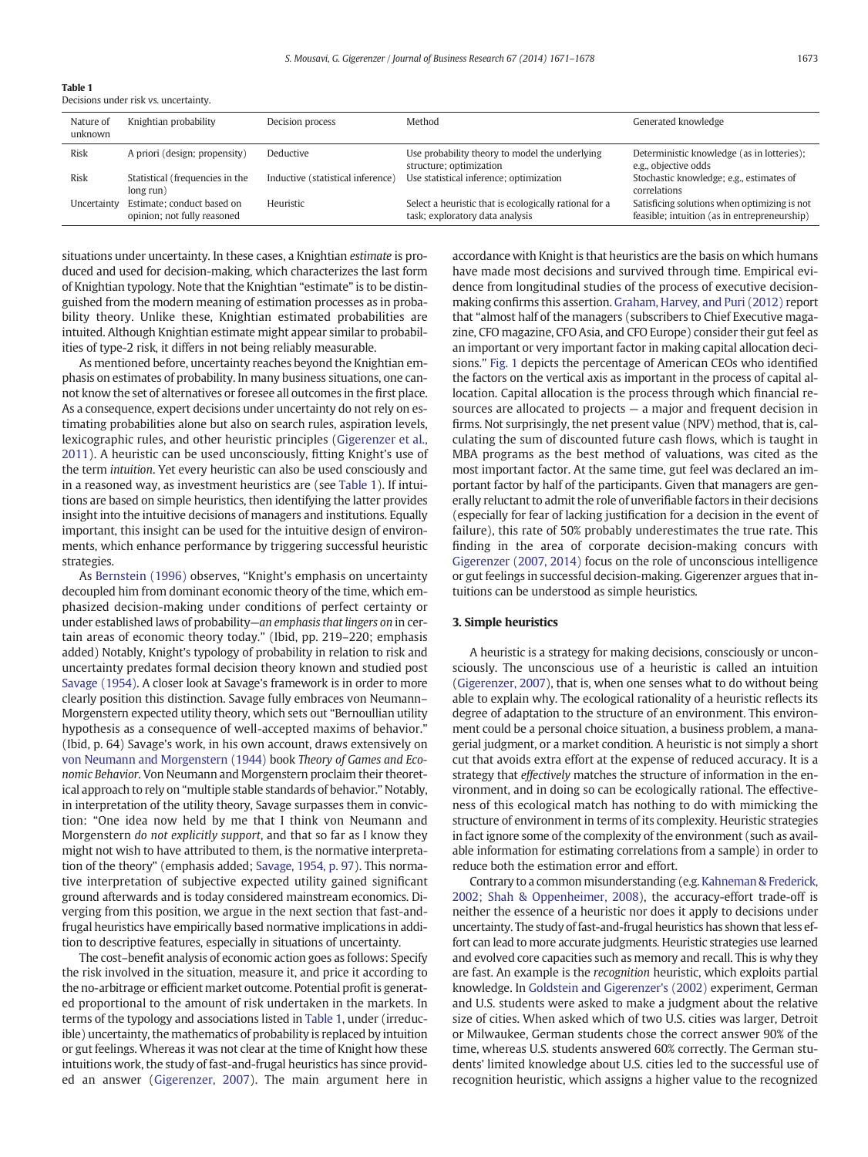<span id="page-2-0"></span>Table 1 Decisions under risk vs. uncertainty.

| Nature of<br>unknown | Knightian probability                                     | Decision process                  | Method                                                                                    | Generated knowledge                                                                          |
|----------------------|-----------------------------------------------------------|-----------------------------------|-------------------------------------------------------------------------------------------|----------------------------------------------------------------------------------------------|
| Risk                 | A priori (design; propensity)                             | Deductive                         | Use probability theory to model the underlying<br>structure; optimization                 | Deterministic knowledge (as in lotteries);<br>e.g., objective odds                           |
| Risk                 | Statistical (frequencies in the<br>long run)              | Inductive (statistical inference) | Use statistical inference; optimization                                                   | Stochastic knowledge; e.g., estimates of<br>correlations                                     |
| Uncertainty          | Estimate; conduct based on<br>opinion; not fully reasoned | Heuristic                         | Select a heuristic that is ecologically rational for a<br>task; exploratory data analysis | Satisficing solutions when optimizing is not<br>feasible; intuition (as in entrepreneurship) |

situations under uncertainty. In these cases, a Knightian estimate is produced and used for decision-making, which characterizes the last form of Knightian typology. Note that the Knightian "estimate" is to be distinguished from the modern meaning of estimation processes as in probability theory. Unlike these, Knightian estimated probabilities are intuited. Although Knightian estimate might appear similar to probabilities of type-2 risk, it differs in not being reliably measurable.

As mentioned before, uncertainty reaches beyond the Knightian emphasis on estimates of probability. In many business situations, one cannot know the set of alternatives or foresee all outcomes in the first place. As a consequence, expert decisions under uncertainty do not rely on estimating probabilities alone but also on search rules, aspiration levels, lexicographic rules, and other heuristic principles [\(Gigerenzer et al.,](#page-6-0) [2011\)](#page-6-0). A heuristic can be used unconsciously, fitting Knight's use of the term intuition. Yet every heuristic can also be used consciously and in a reasoned way, as investment heuristics are (see Table 1). If intuitions are based on simple heuristics, then identifying the latter provides insight into the intuitive decisions of managers and institutions. Equally important, this insight can be used for the intuitive design of environments, which enhance performance by triggering successful heuristic strategies.

As [Bernstein \(1996\)](#page-6-0) observes, "Knight's emphasis on uncertainty decoupled him from dominant economic theory of the time, which emphasized decision-making under conditions of perfect certainty or under established laws of probability—an emphasis that lingers on in certain areas of economic theory today." (Ibid, pp. 219–220; emphasis added) Notably, Knight's typology of probability in relation to risk and uncertainty predates formal decision theory known and studied post [Savage \(1954\).](#page-6-0) A closer look at Savage's framework is in order to more clearly position this distinction. Savage fully embraces von Neumann– Morgenstern expected utility theory, which sets out "Bernoullian utility hypothesis as a consequence of well-accepted maxims of behavior." (Ibid, p. 64) Savage's work, in his own account, draws extensively on [von Neumann and Morgenstern \(1944\)](#page-7-0) book Theory of Games and Economic Behavior. Von Neumann and Morgenstern proclaim their theoretical approach to rely on "multiple stable standards of behavior." Notably, in interpretation of the utility theory, Savage surpasses them in conviction: "One idea now held by me that I think von Neumann and Morgenstern do not explicitly support, and that so far as I know they might not wish to have attributed to them, is the normative interpretation of the theory" (emphasis added; [Savage, 1954, p. 97](#page-6-0)). This normative interpretation of subjective expected utility gained significant ground afterwards and is today considered mainstream economics. Diverging from this position, we argue in the next section that fast-andfrugal heuristics have empirically based normative implications in addition to descriptive features, especially in situations of uncertainty.

The cost–benefit analysis of economic action goes as follows: Specify the risk involved in the situation, measure it, and price it according to the no-arbitrage or efficient market outcome. Potential profit is generated proportional to the amount of risk undertaken in the markets. In terms of the typology and associations listed in Table 1, under (irreducible) uncertainty, the mathematics of probability is replaced by intuition or gut feelings. Whereas it was not clear at the time of Knight how these intuitions work, the study of fast-and-frugal heuristics has since provided an answer ([Gigerenzer, 2007](#page-6-0)). The main argument here in accordance with Knight is that heuristics are the basis on which humans have made most decisions and survived through time. Empirical evidence from longitudinal studies of the process of executive decisionmaking confirms this assertion. [Graham, Harvey, and Puri \(2012\)](#page-6-0) report that "almost half of the managers (subscribers to Chief Executive magazine, CFO magazine, CFO Asia, and CFO Europe) consider their gut feel as an important or very important factor in making capital allocation decisions." [Fig. 1](#page-3-0) depicts the percentage of American CEOs who identified the factors on the vertical axis as important in the process of capital allocation. Capital allocation is the process through which financial resources are allocated to projects — a major and frequent decision in firms. Not surprisingly, the net present value (NPV) method, that is, calculating the sum of discounted future cash flows, which is taught in MBA programs as the best method of valuations, was cited as the most important factor. At the same time, gut feel was declared an important factor by half of the participants. Given that managers are generally reluctant to admit the role of unverifiable factors in their decisions (especially for fear of lacking justification for a decision in the event of failure), this rate of 50% probably underestimates the true rate. This finding in the area of corporate decision-making concurs with [Gigerenzer \(2007, 2014\)](#page-6-0) focus on the role of unconscious intelligence or gut feelings in successful decision-making. Gigerenzer argues that intuitions can be understood as simple heuristics.

### 3. Simple heuristics

A heuristic is a strategy for making decisions, consciously or unconsciously. The unconscious use of a heuristic is called an intuition [\(Gigerenzer, 2007\)](#page-6-0), that is, when one senses what to do without being able to explain why. The ecological rationality of a heuristic reflects its degree of adaptation to the structure of an environment. This environment could be a personal choice situation, a business problem, a managerial judgment, or a market condition. A heuristic is not simply a short cut that avoids extra effort at the expense of reduced accuracy. It is a strategy that effectively matches the structure of information in the environment, and in doing so can be ecologically rational. The effectiveness of this ecological match has nothing to do with mimicking the structure of environment in terms of its complexity. Heuristic strategies in fact ignore some of the complexity of the environment (such as available information for estimating correlations from a sample) in order to reduce both the estimation error and effort.

Contrary to a common misunderstanding (e.g. [Kahneman & Frederick,](#page-6-0) [2002; Shah & Oppenheimer, 2008](#page-6-0)), the accuracy-effort trade-off is neither the essence of a heuristic nor does it apply to decisions under uncertainty. The study of fast-and-frugal heuristics has shown that less effort can lead to more accurate judgments. Heuristic strategies use learned and evolved core capacities such as memory and recall. This is why they are fast. An example is the recognition heuristic, which exploits partial knowledge. In [Goldstein and Gigerenzer's \(2002\)](#page-6-0) experiment, German and U.S. students were asked to make a judgment about the relative size of cities. When asked which of two U.S. cities was larger, Detroit or Milwaukee, German students chose the correct answer 90% of the time, whereas U.S. students answered 60% correctly. The German students' limited knowledge about U.S. cities led to the successful use of recognition heuristic, which assigns a higher value to the recognized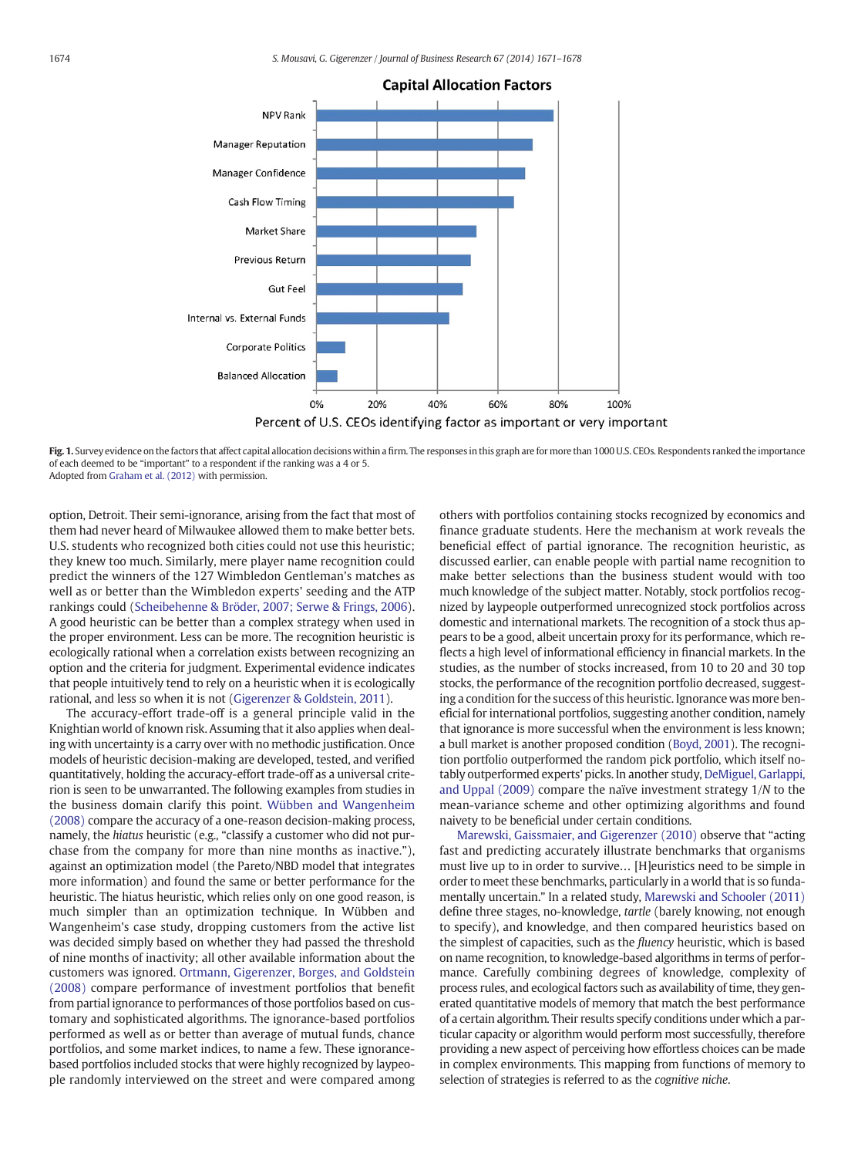<span id="page-3-0"></span>

Fig. 1. Survey evidence on the factors that affect capital allocation decisions within a firm. The responses in this graph are for more than 1000 U.S. CEOs. Respondents ranked the importance of each deemed to be "important" to a respondent if the ranking was a 4 or 5. Adopted from [Graham et al. \(2012\)](#page-6-0) with permission.

option, Detroit. Their semi-ignorance, arising from the fact that most of them had never heard of Milwaukee allowed them to make better bets. U.S. students who recognized both cities could not use this heuristic; they knew too much. Similarly, mere player name recognition could predict the winners of the 127 Wimbledon Gentleman's matches as well as or better than the Wimbledon experts' seeding and the ATP rankings could [\(Scheibehenne & Bröder, 2007; Serwe & Frings, 2006](#page-6-0)). A good heuristic can be better than a complex strategy when used in the proper environment. Less can be more. The recognition heuristic is ecologically rational when a correlation exists between recognizing an option and the criteria for judgment. Experimental evidence indicates that people intuitively tend to rely on a heuristic when it is ecologically rational, and less so when it is not [\(Gigerenzer & Goldstein, 2011\)](#page-6-0).

The accuracy-effort trade-off is a general principle valid in the Knightian world of known risk. Assuming that it also applies when dealing with uncertainty is a carry over with no methodic justification. Once models of heuristic decision-making are developed, tested, and verified quantitatively, holding the accuracy-effort trade-off as a universal criterion is seen to be unwarranted. The following examples from studies in the business domain clarify this point. [Wübben and Wangenheim](#page-7-0) [\(2008\)](#page-7-0) compare the accuracy of a one-reason decision-making process, namely, the hiatus heuristic (e.g., "classify a customer who did not purchase from the company for more than nine months as inactive."), against an optimization model (the Pareto/NBD model that integrates more information) and found the same or better performance for the heuristic. The hiatus heuristic, which relies only on one good reason, is much simpler than an optimization technique. In Wübben and Wangenheim's case study, dropping customers from the active list was decided simply based on whether they had passed the threshold of nine months of inactivity; all other available information about the customers was ignored. [Ortmann, Gigerenzer, Borges, and Goldstein](#page-6-0) [\(2008\)](#page-6-0) compare performance of investment portfolios that benefit from partial ignorance to performances of those portfolios based on customary and sophisticated algorithms. The ignorance-based portfolios performed as well as or better than average of mutual funds, chance portfolios, and some market indices, to name a few. These ignorancebased portfolios included stocks that were highly recognized by laypeople randomly interviewed on the street and were compared among others with portfolios containing stocks recognized by economics and finance graduate students. Here the mechanism at work reveals the beneficial effect of partial ignorance. The recognition heuristic, as discussed earlier, can enable people with partial name recognition to make better selections than the business student would with too much knowledge of the subject matter. Notably, stock portfolios recognized by laypeople outperformed unrecognized stock portfolios across domestic and international markets. The recognition of a stock thus appears to be a good, albeit uncertain proxy for its performance, which reflects a high level of informational efficiency in financial markets. In the studies, as the number of stocks increased, from 10 to 20 and 30 top stocks, the performance of the recognition portfolio decreased, suggesting a condition for the success of this heuristic. Ignorance was more beneficial for international portfolios, suggesting another condition, namely that ignorance is more successful when the environment is less known; a bull market is another proposed condition ([Boyd, 2001](#page-6-0)). The recognition portfolio outperformed the random pick portfolio, which itself notably outperformed experts' picks. In another study, [DeMiguel, Garlappi,](#page-6-0) [and Uppal \(2009\)](#page-6-0) compare the naïve investment strategy 1/N to the mean-variance scheme and other optimizing algorithms and found naivety to be beneficial under certain conditions.

[Marewski, Gaissmaier, and Gigerenzer \(2010\)](#page-6-0) observe that "acting fast and predicting accurately illustrate benchmarks that organisms must live up to in order to survive… [H]euristics need to be simple in order to meet these benchmarks, particularly in a world that is so fundamentally uncertain." In a related study, [Marewski and Schooler \(2011\)](#page-6-0) define three stages, no-knowledge, tartle (barely knowing, not enough to specify), and knowledge, and then compared heuristics based on the simplest of capacities, such as the fluency heuristic, which is based on name recognition, to knowledge-based algorithms in terms of performance. Carefully combining degrees of knowledge, complexity of process rules, and ecological factors such as availability of time, they generated quantitative models of memory that match the best performance of a certain algorithm. Their results specify conditions under which a particular capacity or algorithm would perform most successfully, therefore providing a new aspect of perceiving how effortless choices can be made in complex environments. This mapping from functions of memory to selection of strategies is referred to as the cognitive niche.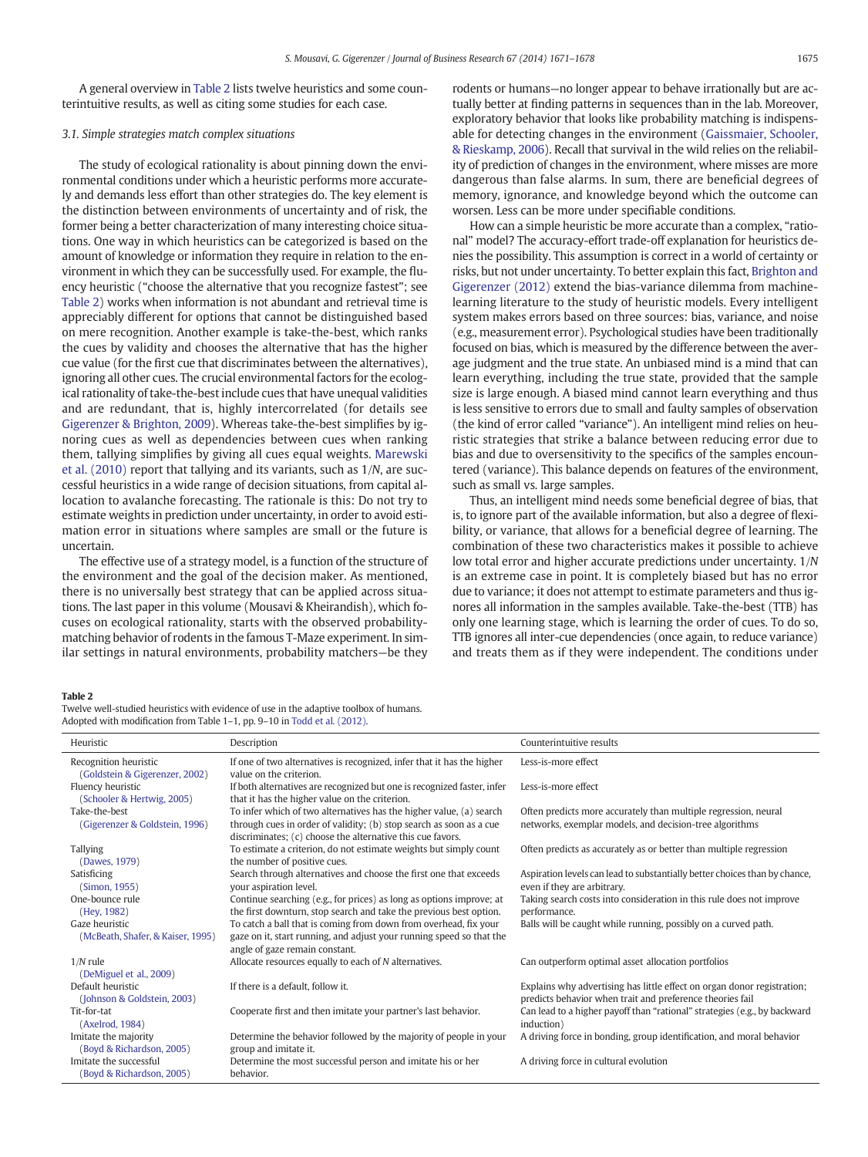A general overview in Table 2 lists twelve heuristics and some counterintuitive results, as well as citing some studies for each case.

#### 3.1. Simple strategies match complex situations

The study of ecological rationality is about pinning down the environmental conditions under which a heuristic performs more accurately and demands less effort than other strategies do. The key element is the distinction between environments of uncertainty and of risk, the former being a better characterization of many interesting choice situations. One way in which heuristics can be categorized is based on the amount of knowledge or information they require in relation to the environment in which they can be successfully used. For example, the fluency heuristic ("choose the alternative that you recognize fastest"; see Table 2) works when information is not abundant and retrieval time is appreciably different for options that cannot be distinguished based on mere recognition. Another example is take-the-best, which ranks the cues by validity and chooses the alternative that has the higher cue value (for the first cue that discriminates between the alternatives), ignoring all other cues. The crucial environmental factors for the ecological rationality of take-the-best include cues that have unequal validities and are redundant, that is, highly intercorrelated (for details see [Gigerenzer & Brighton, 2009\)](#page-6-0). Whereas take-the-best simplifies by ignoring cues as well as dependencies between cues when ranking them, tallying simplifies by giving all cues equal weights. [Marewski](#page-6-0) [et al. \(2010\)](#page-6-0) report that tallying and its variants, such as 1/N, are successful heuristics in a wide range of decision situations, from capital allocation to avalanche forecasting. The rationale is this: Do not try to estimate weights in prediction under uncertainty, in order to avoid estimation error in situations where samples are small or the future is uncertain.

The effective use of a strategy model, is a function of the structure of the environment and the goal of the decision maker. As mentioned, there is no universally best strategy that can be applied across situations. The last paper in this volume (Mousavi & Kheirandish), which focuses on ecological rationality, starts with the observed probabilitymatching behavior of rodents in the famous T-Maze experiment. In similar settings in natural environments, probability matchers—be they

rodents or humans—no longer appear to behave irrationally but are actually better at finding patterns in sequences than in the lab. Moreover, exploratory behavior that looks like probability matching is indispensable for detecting changes in the environment [\(Gaissmaier, Schooler,](#page-6-0) [& Rieskamp, 2006\)](#page-6-0). Recall that survival in the wild relies on the reliability of prediction of changes in the environment, where misses are more dangerous than false alarms. In sum, there are beneficial degrees of memory, ignorance, and knowledge beyond which the outcome can worsen. Less can be more under specifiable conditions.

How can a simple heuristic be more accurate than a complex, "rational" model? The accuracy-effort trade-off explanation for heuristics denies the possibility. This assumption is correct in a world of certainty or risks, but not under uncertainty. To better explain this fact, [Brighton and](#page-6-0) [Gigerenzer \(2012\)](#page-6-0) extend the bias-variance dilemma from machinelearning literature to the study of heuristic models. Every intelligent system makes errors based on three sources: bias, variance, and noise (e.g., measurement error). Psychological studies have been traditionally focused on bias, which is measured by the difference between the average judgment and the true state. An unbiased mind is a mind that can learn everything, including the true state, provided that the sample size is large enough. A biased mind cannot learn everything and thus is less sensitive to errors due to small and faulty samples of observation (the kind of error called "variance"). An intelligent mind relies on heuristic strategies that strike a balance between reducing error due to bias and due to oversensitivity to the specifics of the samples encountered (variance). This balance depends on features of the environment, such as small vs. large samples.

Thus, an intelligent mind needs some beneficial degree of bias, that is, to ignore part of the available information, but also a degree of flexibility, or variance, that allows for a beneficial degree of learning. The combination of these two characteristics makes it possible to achieve low total error and higher accurate predictions under uncertainty. 1/N is an extreme case in point. It is completely biased but has no error due to variance; it does not attempt to estimate parameters and thus ignores all information in the samples available. Take-the-best (TTB) has only one learning stage, which is learning the order of cues. To do so, TTB ignores all inter-cue dependencies (once again, to reduce variance) and treats them as if they were independent. The conditions under

#### Table 2

Twelve well-studied heuristics with evidence of use in the adaptive toolbox of humans. Adopted with modification from Table 1–1, pp. 9–10 in [Todd et al. \(2012\)](#page-7-0).

| Heuristic                                               | Description                                                                                                                       | Counterintuitive results                                                                                  |
|---------------------------------------------------------|-----------------------------------------------------------------------------------------------------------------------------------|-----------------------------------------------------------------------------------------------------------|
| Recognition heuristic<br>(Goldstein & Gigerenzer, 2002) | If one of two alternatives is recognized, infer that it has the higher<br>value on the criterion.                                 | Less-is-more effect                                                                                       |
| Fluency heuristic<br>(Schooler & Hertwig, 2005)         | If both alternatives are recognized but one is recognized faster, infer<br>that it has the higher value on the criterion.         | Less-is-more effect                                                                                       |
| Take-the-best                                           | To infer which of two alternatives has the higher value, (a) search                                                               | Often predicts more accurately than multiple regression, neural                                           |
| (Gigerenzer & Goldstein, 1996)                          | through cues in order of validity; (b) stop search as soon as a cue<br>discriminates; (c) choose the alternative this cue favors. | networks, exemplar models, and decision-tree algorithms                                                   |
| <b>Tallying</b>                                         | To estimate a criterion, do not estimate weights but simply count                                                                 | Often predicts as accurately as or better than multiple regression                                        |
| (Dawes, 1979)                                           | the number of positive cues.                                                                                                      |                                                                                                           |
| Satisficing<br>(Simon, 1955)                            | Search through alternatives and choose the first one that exceeds<br>your aspiration level.                                       | Aspiration levels can lead to substantially better choices than by chance,<br>even if they are arbitrary. |
| One-bounce rule                                         | Continue searching (e.g., for prices) as long as options improve; at                                                              | Taking search costs into consideration in this rule does not improve                                      |
| (Hey, 1982)                                             | the first downturn, stop search and take the previous best option.                                                                | performance.                                                                                              |
|                                                         |                                                                                                                                   |                                                                                                           |
| Gaze heuristic                                          | To catch a ball that is coming from down from overhead, fix your                                                                  | Balls will be caught while running, possibly on a curved path.                                            |
| (McBeath, Shafer, & Kaiser, 1995)                       | gaze on it, start running, and adjust your running speed so that the<br>angle of gaze remain constant.                            |                                                                                                           |
| $1/N$ rule                                              | Allocate resources equally to each of N alternatives.                                                                             | Can outperform optimal asset allocation portfolios                                                        |
|                                                         |                                                                                                                                   |                                                                                                           |
| (DeMiguel et al., 2009)                                 |                                                                                                                                   |                                                                                                           |
| Default heuristic                                       | If there is a default, follow it.                                                                                                 | Explains why advertising has little effect on organ donor registration;                                   |
| (Johnson & Goldstein, 2003)                             |                                                                                                                                   | predicts behavior when trait and preference theories fail                                                 |
| Tit-for-tat<br>(Axelrod, 1984)                          | Cooperate first and then imitate your partner's last behavior.                                                                    | Can lead to a higher payoff than "rational" strategies (e.g., by backward<br>induction)                   |
| Imitate the majority                                    | Determine the behavior followed by the majority of people in your                                                                 | A driving force in bonding, group identification, and moral behavior                                      |
| (Boyd & Richardson, 2005)                               | group and imitate it.                                                                                                             |                                                                                                           |
| Imitate the successful                                  | Determine the most successful person and imitate his or her                                                                       | A driving force in cultural evolution                                                                     |
| (Boyd & Richardson, 2005)                               | behavior.                                                                                                                         |                                                                                                           |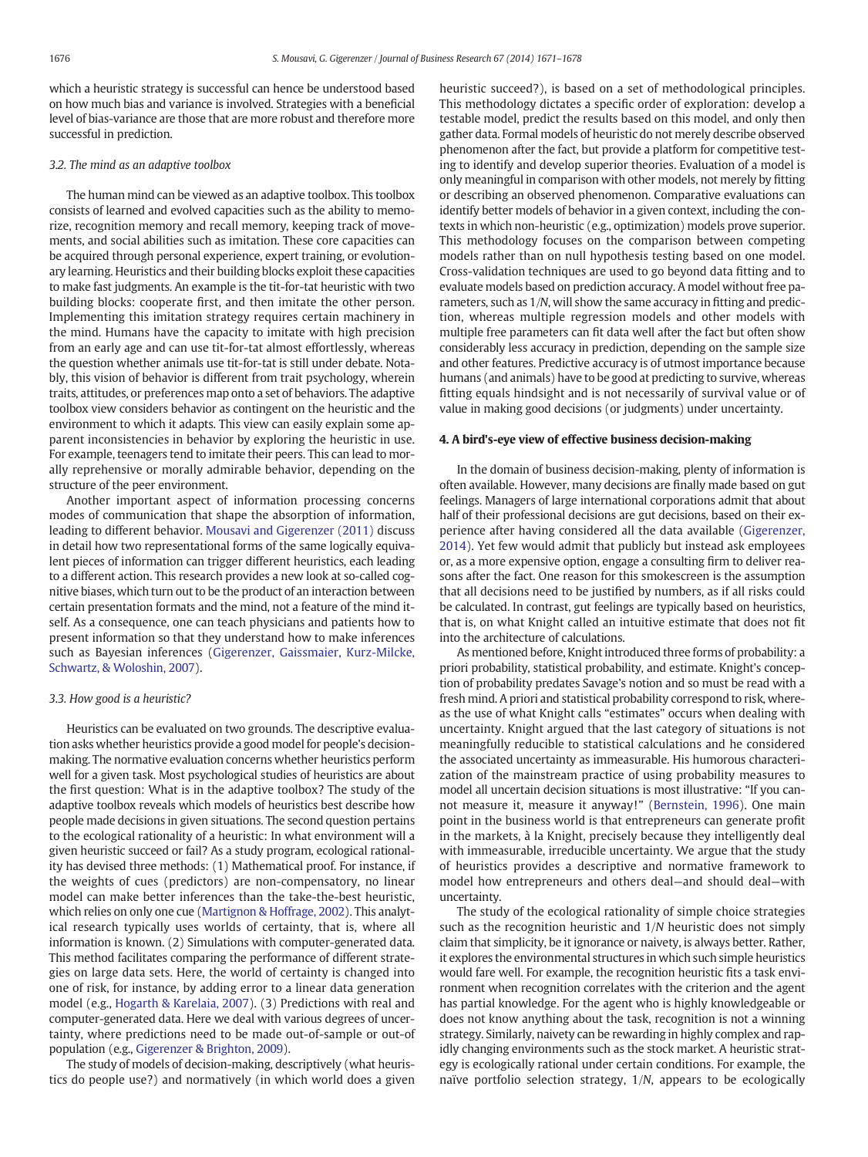which a heuristic strategy is successful can hence be understood based on how much bias and variance is involved. Strategies with a beneficial level of bias-variance are those that are more robust and therefore more successful in prediction.

### 3.2. The mind as an adaptive toolbox

The human mind can be viewed as an adaptive toolbox. This toolbox consists of learned and evolved capacities such as the ability to memorize, recognition memory and recall memory, keeping track of movements, and social abilities such as imitation. These core capacities can be acquired through personal experience, expert training, or evolutionary learning. Heuristics and their building blocks exploit these capacities to make fast judgments. An example is the tit-for-tat heuristic with two building blocks: cooperate first, and then imitate the other person. Implementing this imitation strategy requires certain machinery in the mind. Humans have the capacity to imitate with high precision from an early age and can use tit-for-tat almost effortlessly, whereas the question whether animals use tit-for-tat is still under debate. Notably, this vision of behavior is different from trait psychology, wherein traits, attitudes, or preferences map onto a set of behaviors. The adaptive toolbox view considers behavior as contingent on the heuristic and the environment to which it adapts. This view can easily explain some apparent inconsistencies in behavior by exploring the heuristic in use. For example, teenagers tend to imitate their peers. This can lead to morally reprehensive or morally admirable behavior, depending on the structure of the peer environment.

Another important aspect of information processing concerns modes of communication that shape the absorption of information, leading to different behavior. [Mousavi and Gigerenzer \(2011\)](#page-6-0) discuss in detail how two representational forms of the same logically equivalent pieces of information can trigger different heuristics, each leading to a different action. This research provides a new look at so-called cognitive biases, which turn out to be the product of an interaction between certain presentation formats and the mind, not a feature of the mind itself. As a consequence, one can teach physicians and patients how to present information so that they understand how to make inferences such as Bayesian inferences [\(Gigerenzer, Gaissmaier, Kurz-Milcke,](#page-6-0) [Schwartz, & Woloshin, 2007\)](#page-6-0).

#### 3.3. How good is a heuristic?

Heuristics can be evaluated on two grounds. The descriptive evaluation asks whether heuristics provide a good model for people's decisionmaking. The normative evaluation concerns whether heuristics perform well for a given task. Most psychological studies of heuristics are about the first question: What is in the adaptive toolbox? The study of the adaptive toolbox reveals which models of heuristics best describe how people made decisions in given situations. The second question pertains to the ecological rationality of a heuristic: In what environment will a given heuristic succeed or fail? As a study program, ecological rationality has devised three methods: (1) Mathematical proof. For instance, if the weights of cues (predictors) are non-compensatory, no linear model can make better inferences than the take-the-best heuristic, which relies on only one cue ([Martignon & Hoffrage, 2002\)](#page-6-0). This analytical research typically uses worlds of certainty, that is, where all information is known. (2) Simulations with computer-generated data. This method facilitates comparing the performance of different strategies on large data sets. Here, the world of certainty is changed into one of risk, for instance, by adding error to a linear data generation model (e.g., [Hogarth & Karelaia, 2007\)](#page-6-0). (3) Predictions with real and computer-generated data. Here we deal with various degrees of uncertainty, where predictions need to be made out-of-sample or out-of population (e.g., [Gigerenzer & Brighton, 2009](#page-6-0)).

The study of models of decision-making, descriptively (what heuristics do people use?) and normatively (in which world does a given heuristic succeed?), is based on a set of methodological principles. This methodology dictates a specific order of exploration: develop a testable model, predict the results based on this model, and only then gather data. Formal models of heuristic do not merely describe observed phenomenon after the fact, but provide a platform for competitive testing to identify and develop superior theories. Evaluation of a model is only meaningful in comparison with other models, not merely by fitting or describing an observed phenomenon. Comparative evaluations can identify better models of behavior in a given context, including the contexts in which non-heuristic (e.g., optimization) models prove superior. This methodology focuses on the comparison between competing models rather than on null hypothesis testing based on one model. Cross-validation techniques are used to go beyond data fitting and to evaluate models based on prediction accuracy. A model without free parameters, such as 1/N, will show the same accuracy in fitting and prediction, whereas multiple regression models and other models with multiple free parameters can fit data well after the fact but often show considerably less accuracy in prediction, depending on the sample size and other features. Predictive accuracy is of utmost importance because humans (and animals) have to be good at predicting to survive, whereas fitting equals hindsight and is not necessarily of survival value or of value in making good decisions (or judgments) under uncertainty.

#### 4. A bird's-eye view of effective business decision-making

In the domain of business decision-making, plenty of information is often available. However, many decisions are finally made based on gut feelings. Managers of large international corporations admit that about half of their professional decisions are gut decisions, based on their experience after having considered all the data available ([Gigerenzer,](#page-6-0) [2014](#page-6-0)). Yet few would admit that publicly but instead ask employees or, as a more expensive option, engage a consulting firm to deliver reasons after the fact. One reason for this smokescreen is the assumption that all decisions need to be justified by numbers, as if all risks could be calculated. In contrast, gut feelings are typically based on heuristics, that is, on what Knight called an intuitive estimate that does not fit into the architecture of calculations.

As mentioned before, Knight introduced three forms of probability: a priori probability, statistical probability, and estimate. Knight's conception of probability predates Savage's notion and so must be read with a fresh mind. A priori and statistical probability correspond to risk, whereas the use of what Knight calls "estimates" occurs when dealing with uncertainty. Knight argued that the last category of situations is not meaningfully reducible to statistical calculations and he considered the associated uncertainty as immeasurable. His humorous characterization of the mainstream practice of using probability measures to model all uncertain decision situations is most illustrative: "If you cannot measure it, measure it anyway!" ([Bernstein, 1996](#page-6-0)). One main point in the business world is that entrepreneurs can generate profit in the markets, à la Knight, precisely because they intelligently deal with immeasurable, irreducible uncertainty. We argue that the study of heuristics provides a descriptive and normative framework to model how entrepreneurs and others deal—and should deal—with uncertainty.

The study of the ecological rationality of simple choice strategies such as the recognition heuristic and 1/N heuristic does not simply claim that simplicity, be it ignorance or naivety, is always better. Rather, it explores the environmental structures in which such simple heuristics would fare well. For example, the recognition heuristic fits a task environment when recognition correlates with the criterion and the agent has partial knowledge. For the agent who is highly knowledgeable or does not know anything about the task, recognition is not a winning strategy. Similarly, naivety can be rewarding in highly complex and rapidly changing environments such as the stock market. A heuristic strategy is ecologically rational under certain conditions. For example, the naïve portfolio selection strategy, 1/N, appears to be ecologically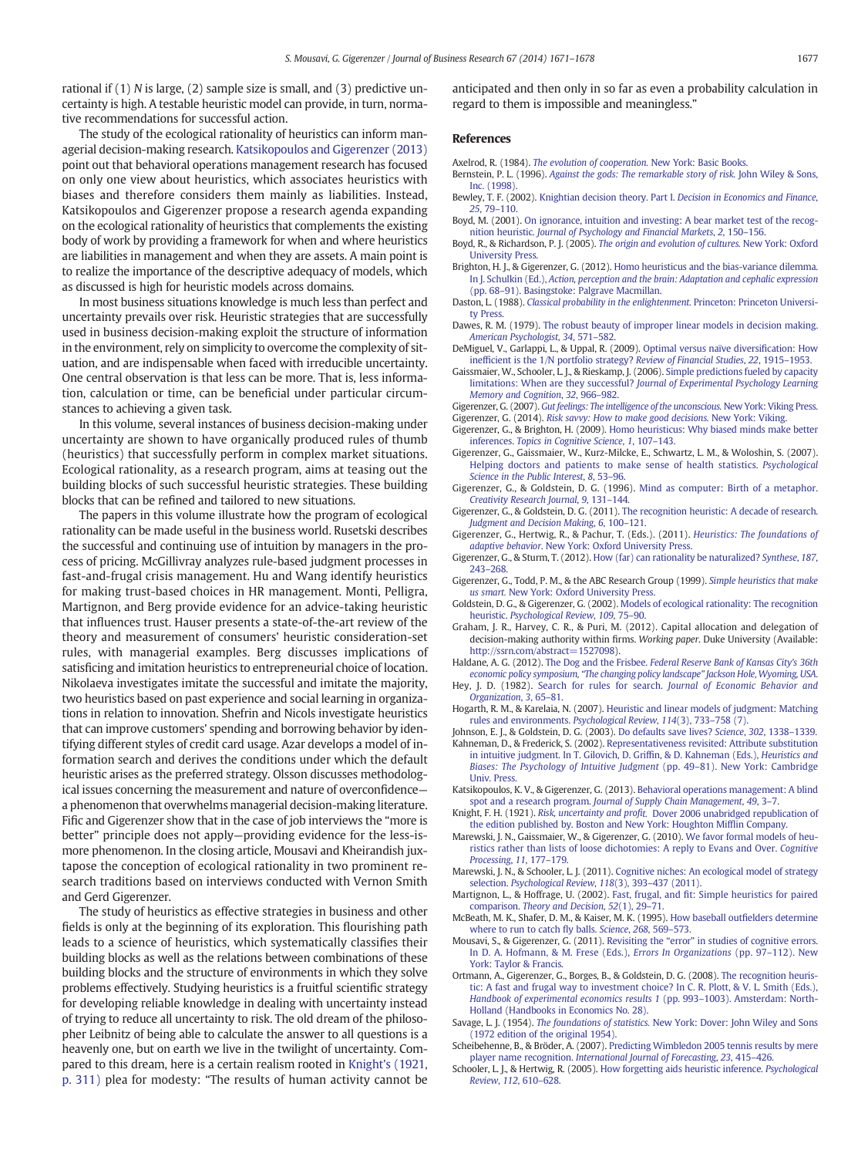<span id="page-6-0"></span>rational if (1) N is large, (2) sample size is small, and (3) predictive uncertainty is high. A testable heuristic model can provide, in turn, normative recommendations for successful action.

The study of the ecological rationality of heuristics can inform managerial decision-making research. Katsikopoulos and Gigerenzer (2013) point out that behavioral operations management research has focused on only one view about heuristics, which associates heuristics with biases and therefore considers them mainly as liabilities. Instead, Katsikopoulos and Gigerenzer propose a research agenda expanding on the ecological rationality of heuristics that complements the existing body of work by providing a framework for when and where heuristics are liabilities in management and when they are assets. A main point is to realize the importance of the descriptive adequacy of models, which as discussed is high for heuristic models across domains.

In most business situations knowledge is much less than perfect and uncertainty prevails over risk. Heuristic strategies that are successfully used in business decision-making exploit the structure of information in the environment, rely on simplicity to overcome the complexity of situation, and are indispensable when faced with irreducible uncertainty. One central observation is that less can be more. That is, less information, calculation or time, can be beneficial under particular circumstances to achieving a given task.

In this volume, several instances of business decision-making under uncertainty are shown to have organically produced rules of thumb (heuristics) that successfully perform in complex market situations. Ecological rationality, as a research program, aims at teasing out the building blocks of such successful heuristic strategies. These building blocks that can be refined and tailored to new situations.

The papers in this volume illustrate how the program of ecological rationality can be made useful in the business world. Rusetski describes the successful and continuing use of intuition by managers in the process of pricing. McGillivray analyzes rule-based judgment processes in fast-and-frugal crisis management. Hu and Wang identify heuristics for making trust-based choices in HR management. Monti, Pelligra, Martignon, and Berg provide evidence for an advice-taking heuristic that influences trust. Hauser presents a state-of-the-art review of the theory and measurement of consumers' heuristic consideration-set rules, with managerial examples. Berg discusses implications of satisficing and imitation heuristics to entrepreneurial choice of location. Nikolaeva investigates imitate the successful and imitate the majority, two heuristics based on past experience and social learning in organizations in relation to innovation. Shefrin and Nicols investigate heuristics that can improve customers' spending and borrowing behavior by identifying different styles of credit card usage. Azar develops a model of information search and derives the conditions under which the default heuristic arises as the preferred strategy. Olsson discusses methodological issues concerning the measurement and nature of overconfidence a phenomenon that overwhelms managerial decision-making literature. Fific and Gigerenzer show that in the case of job interviews the "more is better" principle does not apply—providing evidence for the less-ismore phenomenon. In the closing article, Mousavi and Kheirandish juxtapose the conception of ecological rationality in two prominent research traditions based on interviews conducted with Vernon Smith and Gerd Gigerenzer.

The study of heuristics as effective strategies in business and other fields is only at the beginning of its exploration. This flourishing path leads to a science of heuristics, which systematically classifies their building blocks as well as the relations between combinations of these building blocks and the structure of environments in which they solve problems effectively. Studying heuristics is a fruitful scientific strategy for developing reliable knowledge in dealing with uncertainty instead of trying to reduce all uncertainty to risk. The old dream of the philosopher Leibnitz of being able to calculate the answer to all questions is a heavenly one, but on earth we live in the twilight of uncertainty. Compared to this dream, here is a certain realism rooted in Knight's (1921, p. 311) plea for modesty: "The results of human activity cannot be anticipated and then only in so far as even a probability calculation in regard to them is impossible and meaningless."

#### References

Axelrod, R. (1984). [The evolution of cooperation.](http://refhub.elsevier.com/S0148-2963(14)00088-5/rf0005) New York: Basic Books.

- Bernstein, P. L. (1996). [Against the gods: The remarkable story of risk.](http://refhub.elsevier.com/S0148-2963(14)00088-5/rf0190) John Wiley & Sons, [Inc. \(1998\).](http://refhub.elsevier.com/S0148-2963(14)00088-5/rf0190)
- Bewley, T. F. (2002). Knightian decision theory. Part I. [Decision in Economics and Finance](http://refhub.elsevier.com/S0148-2963(14)00088-5/rf0195), 25, 79–[110.](http://refhub.elsevier.com/S0148-2963(14)00088-5/rf0195)
- Boyd, M. (2001). [On ignorance, intuition and investing: A bear market test of the recog](http://refhub.elsevier.com/S0148-2963(14)00088-5/rf0020)nition heuristic. [Journal of Psychology and Financial Markets](http://refhub.elsevier.com/S0148-2963(14)00088-5/rf0020), 2, 150–156.
- Boyd, R., & Richardson, P. J. (2005). [The origin and evolution of cultures.](http://refhub.elsevier.com/S0148-2963(14)00088-5/rf0025) New York: Oxford [University Press.](http://refhub.elsevier.com/S0148-2963(14)00088-5/rf0025)
- Brighton, H. J., & Gigerenzer, G. (2012). [Homo heuristicus and the bias-variance dilemma.](http://refhub.elsevier.com/S0148-2963(14)00088-5/rf0030) In J. Schulkin (Ed.), [Action, perception and the brain: Adaptation and cephalic expression](http://refhub.elsevier.com/S0148-2963(14)00088-5/rf0030) (pp. 68–[91\). Basingstoke: Palgrave Macmillan.](http://refhub.elsevier.com/S0148-2963(14)00088-5/rf0030)
- Daston, L. (1988). [Classical probability in the enlightenment.](http://refhub.elsevier.com/S0148-2963(14)00088-5/rf0035) Princeton: Princeton Universi[ty Press.](http://refhub.elsevier.com/S0148-2963(14)00088-5/rf0035)
- Dawes, R. M. (1979). [The robust beauty of improper linear models in decision making.](http://refhub.elsevier.com/S0148-2963(14)00088-5/rf0040) [American Psychologist](http://refhub.elsevier.com/S0148-2963(14)00088-5/rf0040), 34, 571–582.
- DeMiguel, V., Garlappi, L., & Uppal, R. (2009). [Optimal versus naïve diversi](http://refhub.elsevier.com/S0148-2963(14)00088-5/rf0045)fication: How ineffi[cient is the 1/N portfolio strategy?](http://refhub.elsevier.com/S0148-2963(14)00088-5/rf0045) Review of Financial Studies, 22, 1915–1953.
- Gaissmaier, W., Schooler, L. J., & Rieskamp, J. (2006). [Simple predictions fueled by capacity](http://refhub.elsevier.com/S0148-2963(14)00088-5/rf0050) limitations: When are they successful? [Journal of Experimental Psychology Learning](http://refhub.elsevier.com/S0148-2963(14)00088-5/rf0050)
- [Memory and Cognition](http://refhub.elsevier.com/S0148-2963(14)00088-5/rf0050), 32, 966–982. Gigerenzer, G. (2007). [Gut feelings: The intelligence of the unconscious.](http://refhub.elsevier.com/S0148-2963(14)00088-5/rf0055) New York: Viking Press.
- Gigerenzer, G. (2014). [Risk savvy: How to make good decisions.](http://refhub.elsevier.com/S0148-2963(14)00088-5/rf0060) New York: Viking.
- Gigerenzer, G., & Brighton, H. (2009). [Homo heuristicus: Why biased minds make better](http://refhub.elsevier.com/S0148-2963(14)00088-5/rf0070) inferences. [Topics in Cognitive Science](http://refhub.elsevier.com/S0148-2963(14)00088-5/rf0070), 1, 107–143.
- Gigerenzer, G., Gaissmaier, W., Kurz-Milcke, E., Schwartz, L. M., & Woloshin, S. (2007). [Helping doctors and patients to make sense of health statistics.](http://refhub.elsevier.com/S0148-2963(14)00088-5/rf0065) Psychological [Science in the Public Interest](http://refhub.elsevier.com/S0148-2963(14)00088-5/rf0065), 8, 53–96.
- Gigerenzer, G., & Goldstein, D. G. (1996). [Mind as computer: Birth of a metaphor.](http://refhub.elsevier.com/S0148-2963(14)00088-5/rf0075) [Creativity Research Journal](http://refhub.elsevier.com/S0148-2963(14)00088-5/rf0075), 9, 131–144.
- Gigerenzer, G., & Goldstein, D. G. (2011). [The recognition heuristic: A decade of research.](http://refhub.elsevier.com/S0148-2963(14)00088-5/rf0080) [Judgment and Decision Making](http://refhub.elsevier.com/S0148-2963(14)00088-5/rf0080), 6, 100–121.
- Gigerenzer, G., Hertwig, R., & Pachur, T. (Eds.). (2011). [Heuristics: The foundations of](http://refhub.elsevier.com/S0148-2963(14)00088-5/rf0085) adaptive behavior[. New York: Oxford University Press.](http://refhub.elsevier.com/S0148-2963(14)00088-5/rf0085)
- Gigerenzer, G., & Sturm, T. (2012). [How \(far\) can rationality be naturalized?](http://refhub.elsevier.com/S0148-2963(14)00088-5/rf0090) Synthese, 187, 243–[268.](http://refhub.elsevier.com/S0148-2963(14)00088-5/rf0090)
- Gigerenzer, G., Todd, P. M., & the ABC Research Group (1999). [Simple heuristics that make](http://refhub.elsevier.com/S0148-2963(14)00088-5/rf0095) us smart. [New York: Oxford University Press.](http://refhub.elsevier.com/S0148-2963(14)00088-5/rf0095)
- Goldstein, D. G., & Gigerenzer, G. (2002). [Models of ecological rationality: The recognition](http://refhub.elsevier.com/S0148-2963(14)00088-5/rf0100) heuristic. [Psychological Review](http://refhub.elsevier.com/S0148-2963(14)00088-5/rf0100), 109, 75–90.
- Graham, J. R., Harvey, C. R., & Puri, M. (2012). Capital allocation and delegation of decision-making authority within firms. Working paper. Duke University (Available: [http://ssrn.com/abstract=1527098\)](http://ssrn.com/abstract=1527098).
- Haldane, A. G. (2012). The Dog and the Frisbee. [Federal Reserve Bank of Kansas City's 36th](http://refhub.elsevier.com/S0148-2963(14)00088-5/rf0205) economic policy symposium, "[The changing policy landscape](http://refhub.elsevier.com/S0148-2963(14)00088-5/rf0205)" Jackson Hole, Wyoming, USA.
- Hey, J. D. (1982). Search for rules for search. [Journal of Economic Behavior and](http://refhub.elsevier.com/S0148-2963(14)00088-5/rf0110) [Organization](http://refhub.elsevier.com/S0148-2963(14)00088-5/rf0110), 3, 65–81.
- Hogarth, R. M., & Karelaia, N. (2007). [Heuristic and linear models of judgment: Matching](http://refhub.elsevier.com/S0148-2963(14)00088-5/rf0210) [rules and environments.](http://refhub.elsevier.com/S0148-2963(14)00088-5/rf0210) Psychological Review, 114(3), 733–758 (7).
- Johnson, E. J., & Goldstein, D. G. (2003). [Do defaults save lives?](http://refhub.elsevier.com/S0148-2963(14)00088-5/rf0115) Science, 302, 1338–1339. Kahneman, D., & Frederick, S. (2002). [Representativeness revisited: Attribute substitution](http://refhub.elsevier.com/S0148-2963(14)00088-5/rf0120) [in intuitive judgment. In T. Gilovich, D. Grif](http://refhub.elsevier.com/S0148-2963(14)00088-5/rf0120)fin, & D. Kahneman (Eds.), Heuristics and [Biases: The Psychology of Intuitive Judgment](http://refhub.elsevier.com/S0148-2963(14)00088-5/rf0120) (pp. 49–81). New York: Cambridge [Univ. Press.](http://refhub.elsevier.com/S0148-2963(14)00088-5/rf0120)
- Katsikopoulos, K. V., & Gigerenzer, G. (2013). [Behavioral operations management: A blind](http://refhub.elsevier.com/S0148-2963(14)00088-5/rf0125) spot and a research program. [Journal of Supply Chain Management](http://refhub.elsevier.com/S0148-2963(14)00088-5/rf0125), 49, 3-7.
- Knight, F. H. (1921). Risk, uncertainty and profit. [Dover 2006 unabridged republication of](http://refhub.elsevier.com/S0148-2963(14)00088-5/rf0215) [the edition published by. Boston and New York: Houghton Mif](http://refhub.elsevier.com/S0148-2963(14)00088-5/rf0215)flin Company.
- Marewski, J. N., Gaissmaier, W., & Gigerenzer, G. (2010). [We favor formal models of heu](http://refhub.elsevier.com/S0148-2963(14)00088-5/rf0135)[ristics rather than lists of loose dichotomies: A reply to Evans and Over.](http://refhub.elsevier.com/S0148-2963(14)00088-5/rf0135) Cognitive [Processing](http://refhub.elsevier.com/S0148-2963(14)00088-5/rf0135), 11, 177–179.
- Marewski, J. N., & Schooler, L. J. (2011). [Cognitive niches: An ecological model of strategy](http://refhub.elsevier.com/S0148-2963(14)00088-5/rf0140) selection. [Psychological Review](http://refhub.elsevier.com/S0148-2963(14)00088-5/rf0140), 118(3), 393–437 (2011).
- Martignon, L., & Hoffrage, U. (2002). Fast, frugal, and fi[t: Simple heuristics for paired](http://refhub.elsevier.com/S0148-2963(14)00088-5/rf0145) comparison. [Theory and Decision](http://refhub.elsevier.com/S0148-2963(14)00088-5/rf0145), 52(1), 29–71.
- McBeath, M. K., Shafer, D. M., & Kaiser, M. K. (1995). [How baseball out](http://refhub.elsevier.com/S0148-2963(14)00088-5/rf0130)fielders determine [where to run to catch](http://refhub.elsevier.com/S0148-2963(14)00088-5/rf0130) fly balls. Science, 268, 569–573.
- Mousavi, S., & Gigerenzer, G. (2011). Revisiting the "error" [in studies of cognitive errors.](http://refhub.elsevier.com/S0148-2963(14)00088-5/rf0150) [In D. A. Hofmann, & M. Frese \(Eds.\),](http://refhub.elsevier.com/S0148-2963(14)00088-5/rf0150) *Errors In Organizations* (pp. 97-112). New [York: Taylor & Francis.](http://refhub.elsevier.com/S0148-2963(14)00088-5/rf0150)
- Ortmann, A., Gigerenzer, G., Borges, B., & Goldstein, D. G. (2008). [The recognition heuris](http://refhub.elsevier.com/S0148-2963(14)00088-5/rf0225)[tic: A fast and frugal way to investment choice? In C. R. Plott, & V. L. Smith \(Eds.\),](http://refhub.elsevier.com/S0148-2963(14)00088-5/rf0225) [Handbook of experimental economics results 1](http://refhub.elsevier.com/S0148-2963(14)00088-5/rf0225) (pp. 993–1003). Amsterdam: North-[Holland \(Handbooks in Economics No. 28\).](http://refhub.elsevier.com/S0148-2963(14)00088-5/rf0225)
- Savage, L. J. (1954). The foundations of statistics. [New York: Dover: John Wiley and Sons](http://refhub.elsevier.com/S0148-2963(14)00088-5/rf0230) [\(1972 edition of the original 1954\).](http://refhub.elsevier.com/S0148-2963(14)00088-5/rf0230)
- Scheibehenne, B., & Bröder, A. (2007). [Predicting Wimbledon 2005 tennis results by mere](http://refhub.elsevier.com/S0148-2963(14)00088-5/rf0155) player name recognition. [International Journal of Forecasting](http://refhub.elsevier.com/S0148-2963(14)00088-5/rf0155), 23, 415–426.
- Schooler, L. J., & Hertwig, R. (2005). [How forgetting aids heuristic inference.](http://refhub.elsevier.com/S0148-2963(14)00088-5/rf0160) Psychological [Review](http://refhub.elsevier.com/S0148-2963(14)00088-5/rf0160), 112, 610–628.